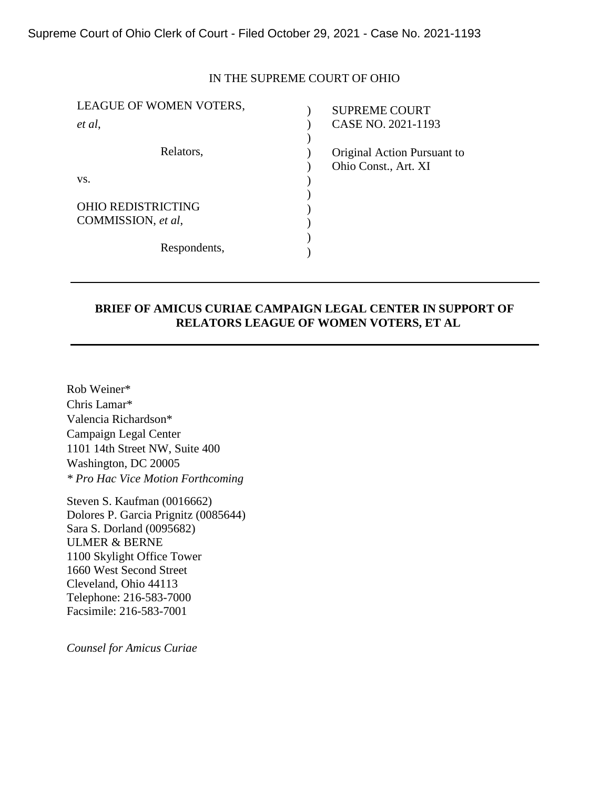### IN THE SUPREME COURT OF OHIO

| LEAGUE OF WOMEN VOTERS,   | <b>SUPREME COURT</b>        |
|---------------------------|-----------------------------|
| et al,                    | CASE NO. 2021-1193          |
|                           |                             |
| Relators,                 | Original Action Pursuant to |
|                           | Ohio Const., Art. XI        |
| VS.                       |                             |
|                           |                             |
| <b>OHIO REDISTRICTING</b> |                             |
| COMMISSION, et al,        |                             |
|                           |                             |
| Respondents,              |                             |
|                           |                             |

## **BRIEF OF AMICUS CURIAE CAMPAIGN LEGAL CENTER IN SUPPORT OF RELATORS LEAGUE OF WOMEN VOTERS, ET AL**

Rob Weiner\* Chris Lamar\* Valencia Richardson\* Campaign Legal Center 1101 14th Street NW, Suite 400 Washington, DC 20005 *\* Pro Hac Vice Motion Forthcoming*

Steven S. Kaufman (0016662) Dolores P. Garcia Prignitz (0085644) Sara S. Dorland (0095682) ULMER & BERNE 1100 Skylight Office Tower 1660 West Second Street Cleveland, Ohio 44113 Telephone: 216-583-7000 Facsimile: 216-583-7001

*Counsel for Amicus Curiae*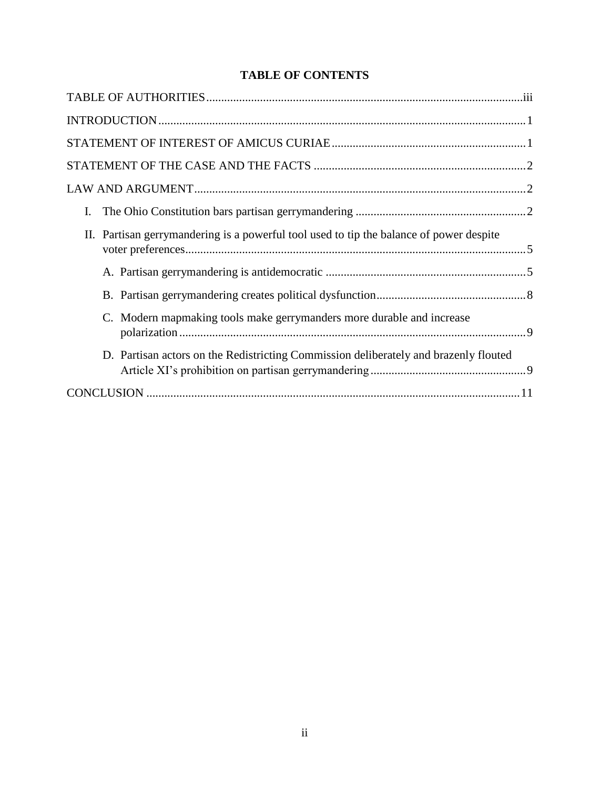# **TABLE OF CONTENTS**

| I.                                                                                      |
|-----------------------------------------------------------------------------------------|
| II. Partisan gerrymandering is a powerful tool used to tip the balance of power despite |
|                                                                                         |
|                                                                                         |
| C. Modern mapmaking tools make gerrymanders more durable and increase                   |
| D. Partisan actors on the Redistricting Commission deliberately and brazenly flouted    |
|                                                                                         |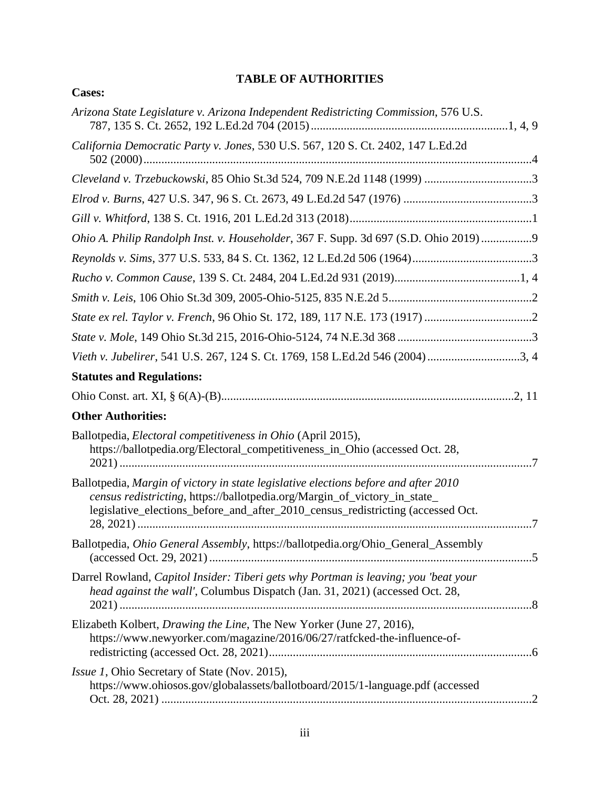# **TABLE OF AUTHORITIES**

| <b>Cases:</b>                                                                                                                                                                                                                                       |  |
|-----------------------------------------------------------------------------------------------------------------------------------------------------------------------------------------------------------------------------------------------------|--|
| Arizona State Legislature v. Arizona Independent Redistricting Commission, 576 U.S.                                                                                                                                                                 |  |
| California Democratic Party v. Jones, 530 U.S. 567, 120 S. Ct. 2402, 147 L.Ed.2d                                                                                                                                                                    |  |
|                                                                                                                                                                                                                                                     |  |
|                                                                                                                                                                                                                                                     |  |
|                                                                                                                                                                                                                                                     |  |
| Ohio A. Philip Randolph Inst. v. Householder, 367 F. Supp. 3d 697 (S.D. Ohio 2019)9                                                                                                                                                                 |  |
|                                                                                                                                                                                                                                                     |  |
|                                                                                                                                                                                                                                                     |  |
|                                                                                                                                                                                                                                                     |  |
|                                                                                                                                                                                                                                                     |  |
|                                                                                                                                                                                                                                                     |  |
| Vieth v. Jubelirer, 541 U.S. 267, 124 S. Ct. 1769, 158 L.Ed.2d 546 (2004)3, 4                                                                                                                                                                       |  |
| <b>Statutes and Regulations:</b>                                                                                                                                                                                                                    |  |
|                                                                                                                                                                                                                                                     |  |
| <b>Other Authorities:</b>                                                                                                                                                                                                                           |  |
| Ballotpedia, <i>Electoral competitiveness in Ohio</i> (April 2015),<br>https://ballotpedia.org/Electoral_competitiveness_in_Ohio (accessed Oct. 28,                                                                                                 |  |
| Ballotpedia, Margin of victory in state legislative elections before and after 2010<br>census redistricting, https://ballotpedia.org/Margin_of_victory_in_state_<br>legislative_elections_before_and_after_2010_census_redistricting (accessed Oct. |  |
| Ballotpedia, Ohio General Assembly, https://ballotpedia.org/Ohio_General_Assembly                                                                                                                                                                   |  |
| Darrel Rowland, Capitol Insider: Tiberi gets why Portman is leaving; you 'beat your<br>head against the wall', Columbus Dispatch (Jan. 31, 2021) (accessed Oct. 28,                                                                                 |  |
| Elizabeth Kolbert, <i>Drawing the Line</i> , The New Yorker (June 27, 2016),<br>https://www.newyorker.com/magazine/2016/06/27/ratfcked-the-influence-of-                                                                                            |  |
| <i>Issue 1</i> , Ohio Secretary of State (Nov. 2015),<br>https://www.ohiosos.gov/globalassets/ballotboard/2015/1-language.pdf (accessed                                                                                                             |  |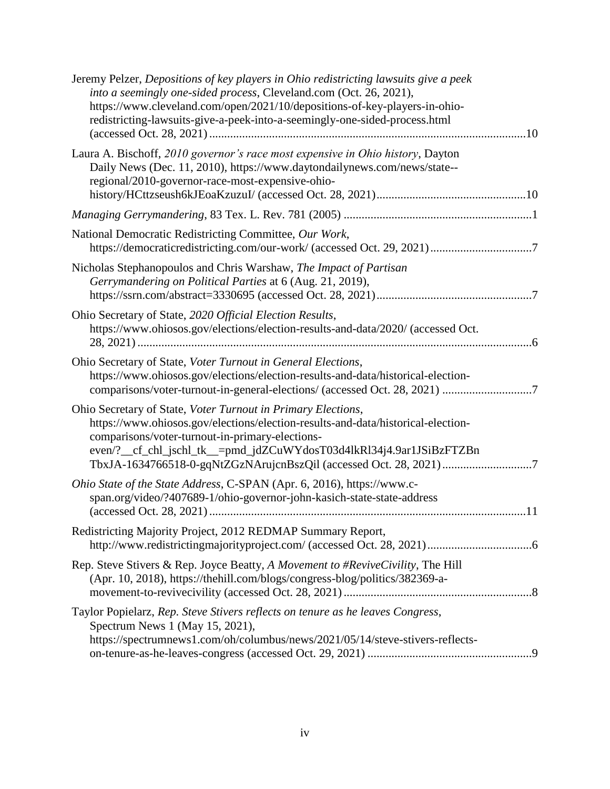| TbxJA-1634766518-0-gqNtZGzNArujcnBszQil (accessed Oct. 28, 2021)7 |
|-------------------------------------------------------------------|
|                                                                   |
|                                                                   |
|                                                                   |
|                                                                   |
|                                                                   |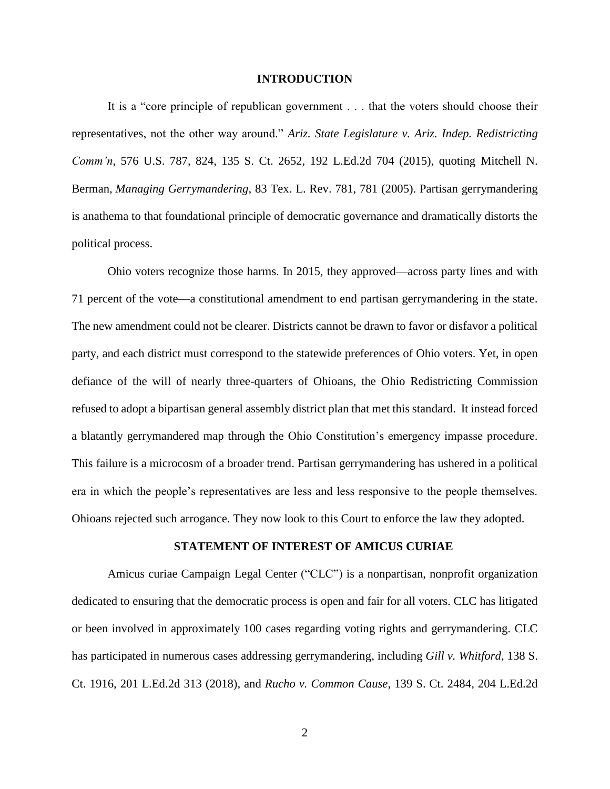### **INTRODUCTION**

It is a "core principle of republican government . . . that the voters should choose their representatives, not the other way around." *Ariz. State Legislature v. Ariz. Indep. Redistricting Comm'n*, 576 U.S. 787, 824, 135 S. Ct. 2652, 192 L.Ed.2d 704 (2015), quoting Mitchell N. Berman, *Managing Gerrymandering*, 83 Tex. L. Rev. 781, 781 (2005). Partisan gerrymandering is anathema to that foundational principle of democratic governance and dramatically distorts the political process.

Ohio voters recognize those harms. In 2015, they approved—across party lines and with 71 percent of the vote—a constitutional amendment to end partisan gerrymandering in the state. The new amendment could not be clearer. Districts cannot be drawn to favor or disfavor a political party, and each district must correspond to the statewide preferences of Ohio voters. Yet, in open defiance of the will of nearly three-quarters of Ohioans, the Ohio Redistricting Commission refused to adopt a bipartisan general assembly district plan that met this standard. It instead forced a blatantly gerrymandered map through the Ohio Constitution's emergency impasse procedure. This failure is a microcosm of a broader trend. Partisan gerrymandering has ushered in a political era in which the people's representatives are less and less responsive to the people themselves. Ohioans rejected such arrogance. They now look to this Court to enforce the law they adopted.

#### **STATEMENT OF INTEREST OF AMICUS CURIAE**

Amicus curiae Campaign Legal Center ("CLC") is a nonpartisan, nonprofit organization dedicated to ensuring that the democratic process is open and fair for all voters. CLC has litigated or been involved in approximately 100 cases regarding voting rights and gerrymandering. CLC has participated in numerous cases addressing gerrymandering, including *Gill v. Whitford*, 138 S. Ct. 1916, 201 L.Ed.2d 313 (2018), and *Rucho v. Common Cause*, 139 S. Ct. 2484, 204 L.Ed.2d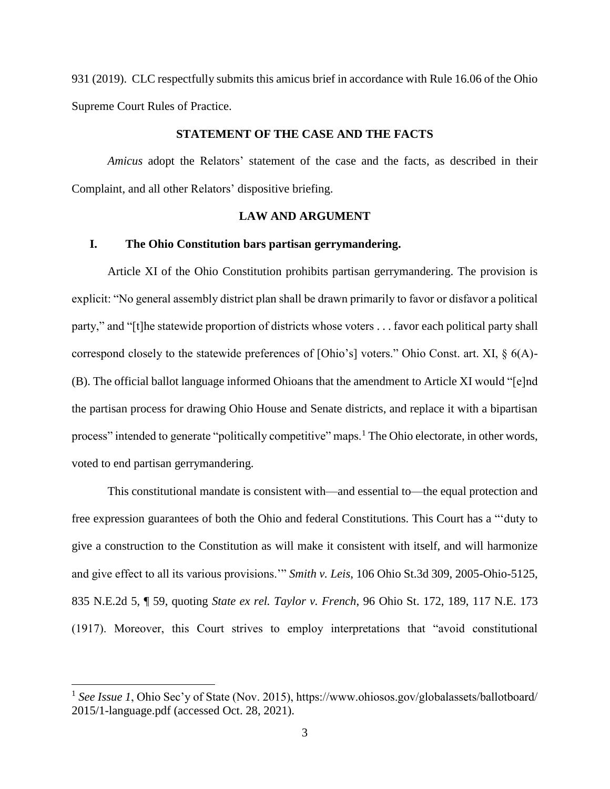931 (2019). CLC respectfully submits this amicus brief in accordance with Rule 16.06 of the Ohio Supreme Court Rules of Practice.

### **STATEMENT OF THE CASE AND THE FACTS**

*Amicus* adopt the Relators' statement of the case and the facts, as described in their Complaint, and all other Relators' dispositive briefing.

### **LAW AND ARGUMENT**

### **I. The Ohio Constitution bars partisan gerrymandering.**

Article XI of the Ohio Constitution prohibits partisan gerrymandering. The provision is explicit: "No general assembly district plan shall be drawn primarily to favor or disfavor a political party," and "[t]he statewide proportion of districts whose voters . . . favor each political party shall correspond closely to the statewide preferences of [Ohio's] voters." Ohio Const. art. XI, § 6(A)- (B). The official ballot language informed Ohioans that the amendment to Article XI would "[e]nd the partisan process for drawing Ohio House and Senate districts, and replace it with a bipartisan process" intended to generate "politically competitive" maps.<sup>1</sup> The Ohio electorate, in other words, voted to end partisan gerrymandering.

This constitutional mandate is consistent with—and essential to—the equal protection and free expression guarantees of both the Ohio and federal Constitutions. This Court has a "'duty to give a construction to the Constitution as will make it consistent with itself, and will harmonize and give effect to all its various provisions.'" *Smith v. Leis*, 106 Ohio St.3d 309, 2005-Ohio-5125, 835 N.E.2d 5, ¶ 59, quoting *State ex rel. Taylor v. French*, 96 Ohio St. 172, 189, 117 N.E. 173 (1917). Moreover, this Court strives to employ interpretations that "avoid constitutional

 $\overline{a}$ 

<sup>&</sup>lt;sup>1</sup> See Issue 1, Ohio Sec'y of State (Nov. 2015), https://www.ohiosos.gov/globalassets/ballotboard/ 2015/1-language.pdf (accessed Oct. 28, 2021).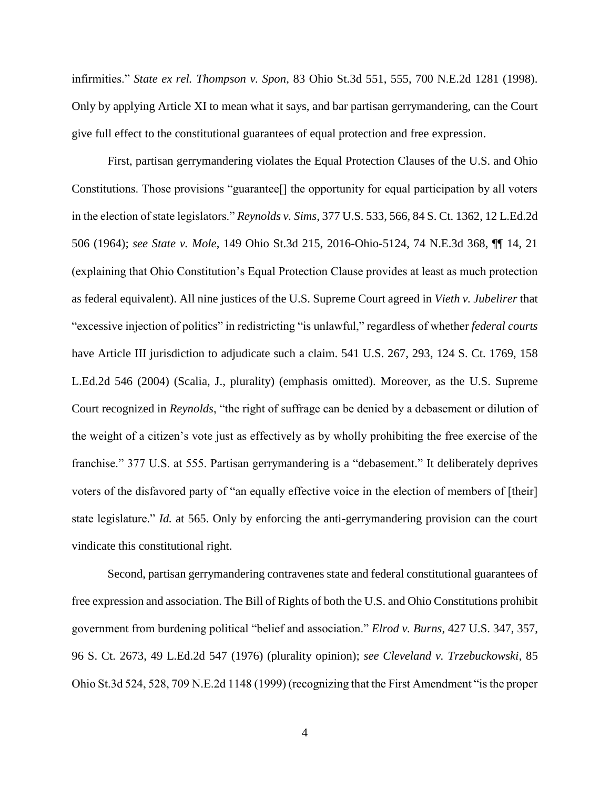infirmities." *State ex rel. Thompson v. Spon*, 83 Ohio St.3d 551, 555, 700 N.E.2d 1281 (1998). Only by applying Article XI to mean what it says, and bar partisan gerrymandering, can the Court give full effect to the constitutional guarantees of equal protection and free expression.

First, partisan gerrymandering violates the Equal Protection Clauses of the U.S. and Ohio Constitutions. Those provisions "guarantee[] the opportunity for equal participation by all voters in the election of state legislators." *Reynolds v. Sims*, 377 U.S. 533, 566, 84 S. Ct. 1362, 12 L.Ed.2d 506 (1964); *see State v. Mole*, 149 Ohio St.3d 215, 2016-Ohio-5124, 74 N.E.3d 368, ¶¶ 14, 21 (explaining that Ohio Constitution's Equal Protection Clause provides at least as much protection as federal equivalent). All nine justices of the U.S. Supreme Court agreed in *Vieth v. Jubelirer* that "excessive injection of politics" in redistricting "is unlawful," regardless of whether *federal courts* have Article III jurisdiction to adjudicate such a claim. 541 U.S. 267, 293, 124 S. Ct. 1769, 158 L.Ed.2d 546 (2004) (Scalia, J., plurality) (emphasis omitted). Moreover, as the U.S. Supreme Court recognized in *Reynolds*, "the right of suffrage can be denied by a debasement or dilution of the weight of a citizen's vote just as effectively as by wholly prohibiting the free exercise of the franchise." 377 U.S. at 555. Partisan gerrymandering is a "debasement." It deliberately deprives voters of the disfavored party of "an equally effective voice in the election of members of [their] state legislature." *Id.* at 565. Only by enforcing the anti-gerrymandering provision can the court vindicate this constitutional right.

Second, partisan gerrymandering contravenes state and federal constitutional guarantees of free expression and association. The Bill of Rights of both the U.S. and Ohio Constitutions prohibit government from burdening political "belief and association." *Elrod v. Burns*, 427 U.S. 347, 357, 96 S. Ct. 2673, 49 L.Ed.2d 547 (1976) (plurality opinion); *see Cleveland v. Trzebuckowski*, 85 Ohio St.3d 524, 528, 709 N.E.2d 1148 (1999) (recognizing that the First Amendment "is the proper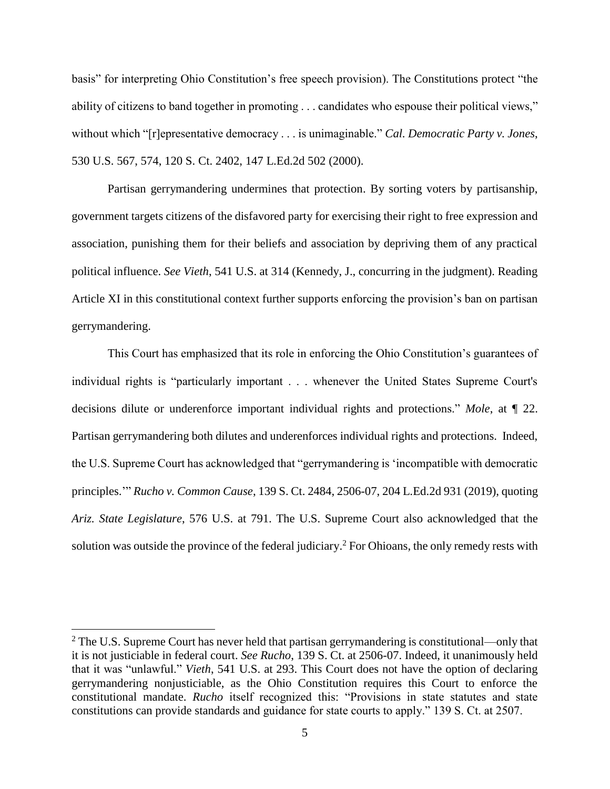basis" for interpreting Ohio Constitution's free speech provision). The Constitutions protect "the ability of citizens to band together in promoting . . . candidates who espouse their political views," without which "[r]epresentative democracy . . . is unimaginable." *Cal. Democratic Party v. Jones*, 530 U.S. 567, 574, 120 S. Ct. 2402, 147 L.Ed.2d 502 (2000).

Partisan gerrymandering undermines that protection. By sorting voters by partisanship, government targets citizens of the disfavored party for exercising their right to free expression and association, punishing them for their beliefs and association by depriving them of any practical political influence. *See Vieth*, 541 U.S. at 314 (Kennedy, J., concurring in the judgment). Reading Article XI in this constitutional context further supports enforcing the provision's ban on partisan gerrymandering.

This Court has emphasized that its role in enforcing the Ohio Constitution's guarantees of individual rights is "particularly important . . . whenever the United States Supreme Court's decisions dilute or underenforce important individual rights and protections." *Mole*, at ¶ 22. Partisan gerrymandering both dilutes and underenforces individual rights and protections. Indeed, the U.S. Supreme Court has acknowledged that "gerrymandering is 'incompatible with democratic principles.'" *Rucho v. Common Cause*, 139 S. Ct. 2484, 2506-07, 204 L.Ed.2d 931 (2019), quoting *Ariz. State Legislature*, 576 U.S. at 791. The U.S. Supreme Court also acknowledged that the solution was outside the province of the federal judiciary.<sup>2</sup> For Ohioans, the only remedy rests with

 $\overline{\phantom{a}}$ 

 $2$  The U.S. Supreme Court has never held that partisan gerrymandering is constitutional—only that it is not justiciable in federal court. *See Rucho*, 139 S. Ct. at 2506-07. Indeed, it unanimously held that it was "unlawful." *Vieth*, 541 U.S. at 293. This Court does not have the option of declaring gerrymandering nonjusticiable, as the Ohio Constitution requires this Court to enforce the constitutional mandate. *Rucho* itself recognized this: "Provisions in state statutes and state constitutions can provide standards and guidance for state courts to apply." 139 S. Ct. at 2507.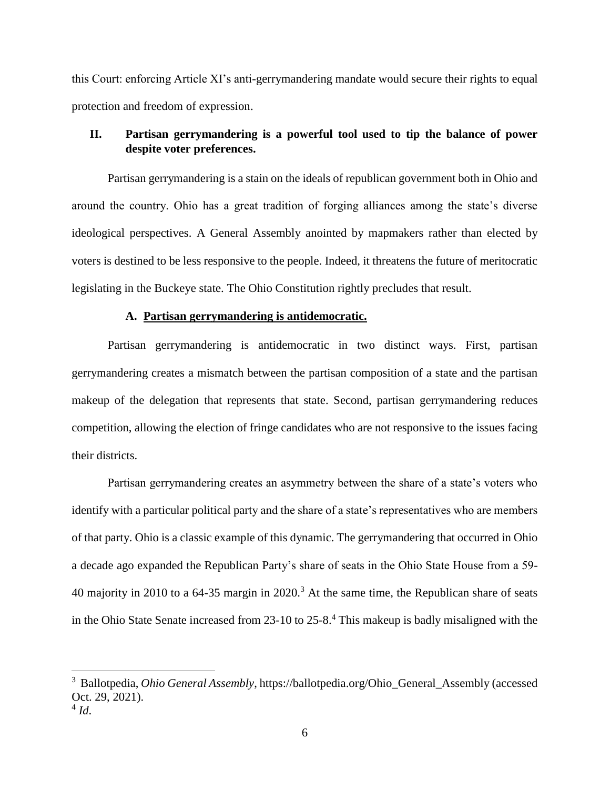this Court: enforcing Article XI's anti-gerrymandering mandate would secure their rights to equal protection and freedom of expression.

## **II. Partisan gerrymandering is a powerful tool used to tip the balance of power despite voter preferences.**

Partisan gerrymandering is a stain on the ideals of republican government both in Ohio and around the country. Ohio has a great tradition of forging alliances among the state's diverse ideological perspectives. A General Assembly anointed by mapmakers rather than elected by voters is destined to be less responsive to the people. Indeed, it threatens the future of meritocratic legislating in the Buckeye state. The Ohio Constitution rightly precludes that result.

### **A. Partisan gerrymandering is antidemocratic.**

Partisan gerrymandering is antidemocratic in two distinct ways. First, partisan gerrymandering creates a mismatch between the partisan composition of a state and the partisan makeup of the delegation that represents that state. Second, partisan gerrymandering reduces competition, allowing the election of fringe candidates who are not responsive to the issues facing their districts.

Partisan gerrymandering creates an asymmetry between the share of a state's voters who identify with a particular political party and the share of a state's representatives who are members of that party. Ohio is a classic example of this dynamic. The gerrymandering that occurred in Ohio a decade ago expanded the Republican Party's share of seats in the Ohio State House from a 59- 40 majority in 2010 to a  $64-35$  margin in 2020.<sup>3</sup> At the same time, the Republican share of seats in the Ohio State Senate increased from  $23$ -10 to  $25$ -8<sup>4</sup>. This makeup is badly misaligned with the

 $\overline{a}$ 

<sup>3</sup> Ballotpedia, *Ohio General Assembly*, https://ballotpedia.org/Ohio\_General\_Assembly (accessed Oct. 29, 2021).

<sup>4</sup> *Id*.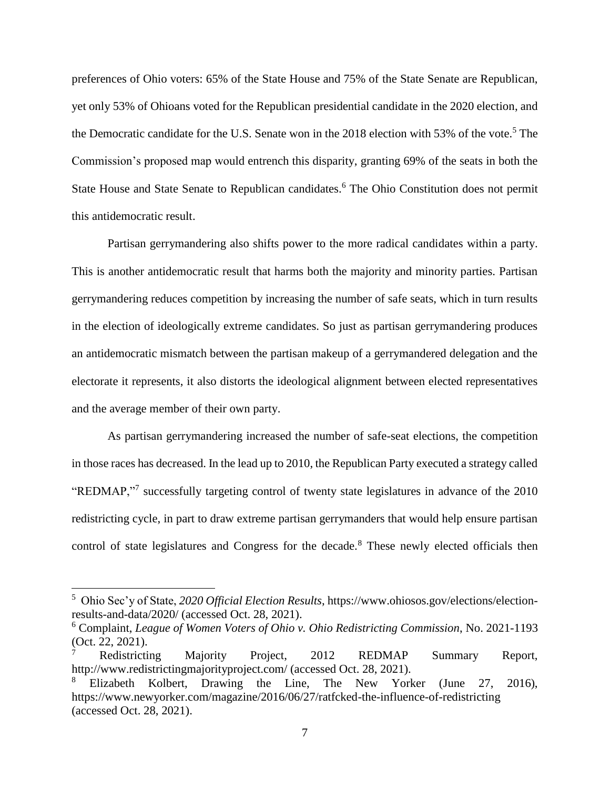preferences of Ohio voters: 65% of the State House and 75% of the State Senate are Republican, yet only 53% of Ohioans voted for the Republican presidential candidate in the 2020 election, and the Democratic candidate for the U.S. Senate won in the 2018 election with 53% of the vote.<sup>5</sup> The Commission's proposed map would entrench this disparity, granting 69% of the seats in both the State House and State Senate to Republican candidates.<sup>6</sup> The Ohio Constitution does not permit this antidemocratic result.

Partisan gerrymandering also shifts power to the more radical candidates within a party. This is another antidemocratic result that harms both the majority and minority parties. Partisan gerrymandering reduces competition by increasing the number of safe seats, which in turn results in the election of ideologically extreme candidates. So just as partisan gerrymandering produces an antidemocratic mismatch between the partisan makeup of a gerrymandered delegation and the electorate it represents, it also distorts the ideological alignment between elected representatives and the average member of their own party.

As partisan gerrymandering increased the number of safe-seat elections, the competition in those races has decreased. In the lead up to 2010, the Republican Party executed a strategy called "REDMAP,"<sup>7</sup> successfully targeting control of twenty state legislatures in advance of the 2010 redistricting cycle, in part to draw extreme partisan gerrymanders that would help ensure partisan control of state legislatures and Congress for the decade.<sup>8</sup> These newly elected officials then

l

<sup>5</sup> Ohio Sec'y of State, *2020 Official Election Results*, https://www.ohiosos.gov/elections/electionresults-and-data/2020/ (accessed Oct. 28, 2021).

<sup>6</sup> Complaint, *League of Women Voters of Ohio v. Ohio Redistricting Commission*, No. 2021-1193 (Oct. 22, 2021).

<sup>7</sup> Redistricting Majority Project, 2012 REDMAP Summary Report, http://www.redistrictingmajorityproject.com/ (accessed Oct. 28, 2021).

<sup>8</sup> Elizabeth Kolbert, Drawing the Line, The New Yorker (June 27, 2016), https://www.newyorker.com/magazine/2016/06/27/ratfcked-the-influence-of-redistricting (accessed Oct. 28, 2021).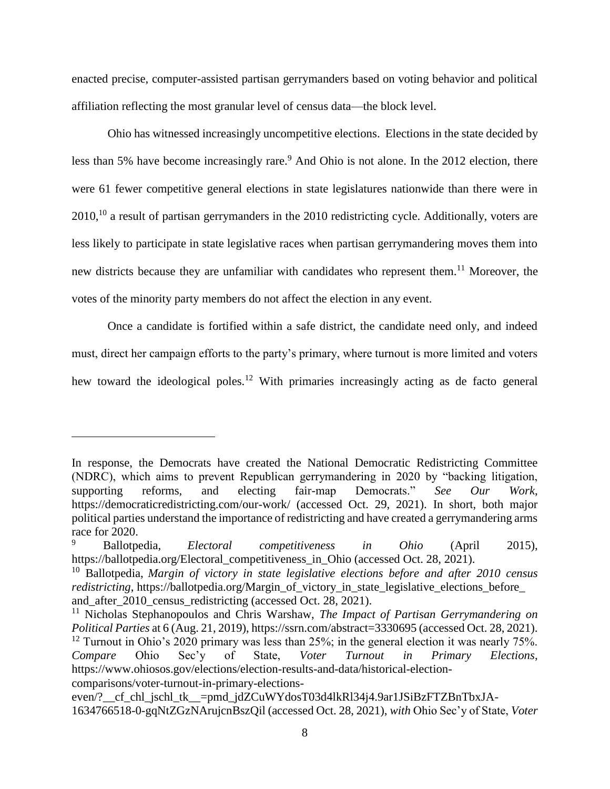enacted precise, computer-assisted partisan gerrymanders based on voting behavior and political affiliation reflecting the most granular level of census data—the block level.

Ohio has witnessed increasingly uncompetitive elections. Elections in the state decided by less than 5% have become increasingly rare.<sup>9</sup> And Ohio is not alone. In the 2012 election, there were 61 fewer competitive general elections in state legislatures nationwide than there were in 2010,<sup>10</sup> a result of partisan gerrymanders in the 2010 redistricting cycle. Additionally, voters are less likely to participate in state legislative races when partisan gerrymandering moves them into new districts because they are unfamiliar with candidates who represent them.<sup>11</sup> Moreover, the votes of the minority party members do not affect the election in any event.

Once a candidate is fortified within a safe district, the candidate need only, and indeed must, direct her campaign efforts to the party's primary, where turnout is more limited and voters hew toward the ideological poles.<sup>12</sup> With primaries increasingly acting as de facto general

 $\overline{\phantom{a}}$ 

In response, the Democrats have created the National Democratic Redistricting Committee (NDRC), which aims to prevent Republican gerrymandering in 2020 by "backing litigation, supporting reforms, and electing fair-map Democrats." *See Our Work*, https://democraticredistricting.com/our-work/ (accessed Oct. 29, 2021). In short, both major political parties understand the importance of redistricting and have created a gerrymandering arms race for 2020.

<sup>9</sup> Ballotpedia, *Electoral competitiveness in Ohio* (April 2015), https://ballotpedia.org/Electoral\_competitiveness\_in\_Ohio (accessed Oct. 28, 2021).

<sup>10</sup> Ballotpedia, *Margin of victory in state legislative elections before and after 2010 census redistricting*, https://ballotpedia.org/Margin\_of\_victory\_in\_state\_legislative\_elections\_before\_ and after 2010 census redistricting (accessed Oct. 28, 2021).

<sup>11</sup> Nicholas Stephanopoulos and Chris Warshaw, *The Impact of Partisan Gerrymandering on Political Parties* at 6 (Aug. 21, 2019), https://ssrn.com/abstract=3330695 (accessed Oct. 28, 2021).

<sup>&</sup>lt;sup>12</sup> Turnout in Ohio's 2020 primary was less than 25%; in the general election it was nearly 75%. *Compare* Ohio Sec'y of State, *Voter Turnout in Primary Elections*, https://www.ohiosos.gov/elections/election-results-and-data/historical-electioncomparisons/voter-turnout-in-primary-elections-

even/? cf chl\_jschl\_tk\_=pmd\_jdZCuWYdosT03d4lkRl34j4.9ar1JSiBzFTZBnTbxJA-1634766518-0-gqNtZGzNArujcnBszQil (accessed Oct. 28, 2021), *with* Ohio Sec'y of State, *Voter*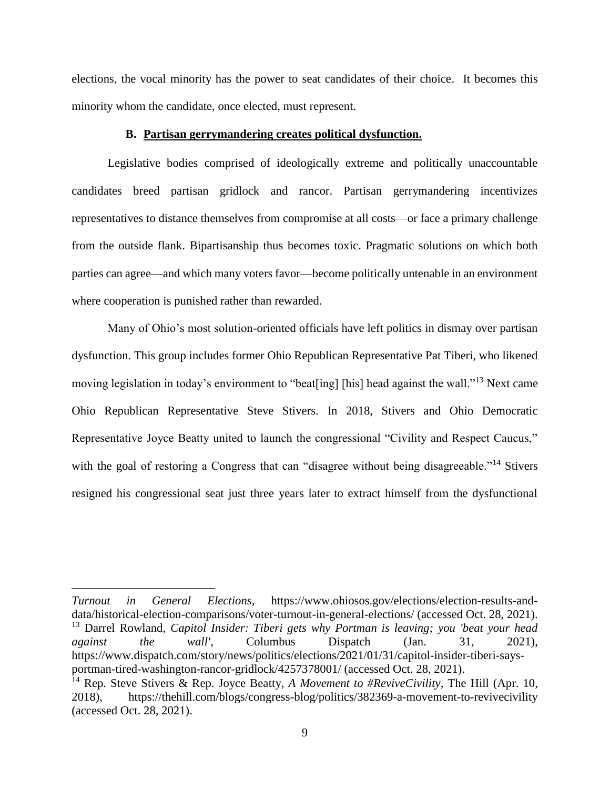elections, the vocal minority has the power to seat candidates of their choice. It becomes this minority whom the candidate, once elected, must represent.

### **B. Partisan gerrymandering creates political dysfunction.**

Legislative bodies comprised of ideologically extreme and politically unaccountable candidates breed partisan gridlock and rancor. Partisan gerrymandering incentivizes representatives to distance themselves from compromise at all costs—or face a primary challenge from the outside flank. Bipartisanship thus becomes toxic. Pragmatic solutions on which both parties can agree—and which many voters favor—become politically untenable in an environment where cooperation is punished rather than rewarded.

Many of Ohio's most solution-oriented officials have left politics in dismay over partisan dysfunction. This group includes former Ohio Republican Representative Pat Tiberi, who likened moving legislation in today's environment to "beat[ing] [his] head against the wall."<sup>13</sup> Next came Ohio Republican Representative Steve Stivers. In 2018, Stivers and Ohio Democratic Representative Joyce Beatty united to launch the congressional "Civility and Respect Caucus," with the goal of restoring a Congress that can "disagree without being disagreeable."<sup>14</sup> Stivers resigned his congressional seat just three years later to extract himself from the dysfunctional

l

*Turnout in General Elections*, https://www.ohiosos.gov/elections/election-results-anddata/historical-election-comparisons/voter-turnout-in-general-elections/ (accessed Oct. 28, 2021). <sup>13</sup> Darrel Rowland, *Capitol Insider: Tiberi gets why Portman is leaving; you 'beat your head against the wall'*, Columbus Dispatch (Jan. 31, 2021), https://www.dispatch.com/story/news/politics/elections/2021/01/31/capitol-insider-tiberi-saysportman-tired-washington-rancor-gridlock/4257378001/ (accessed Oct. 28, 2021).

<sup>14</sup> Rep. Steve Stivers & Rep. Joyce Beatty, *A Movement to #ReviveCivility*, The Hill (Apr. 10, 2018), https://thehill.com/blogs/congress-blog/politics/382369-a-movement-to-revivecivility (accessed Oct. 28, 2021).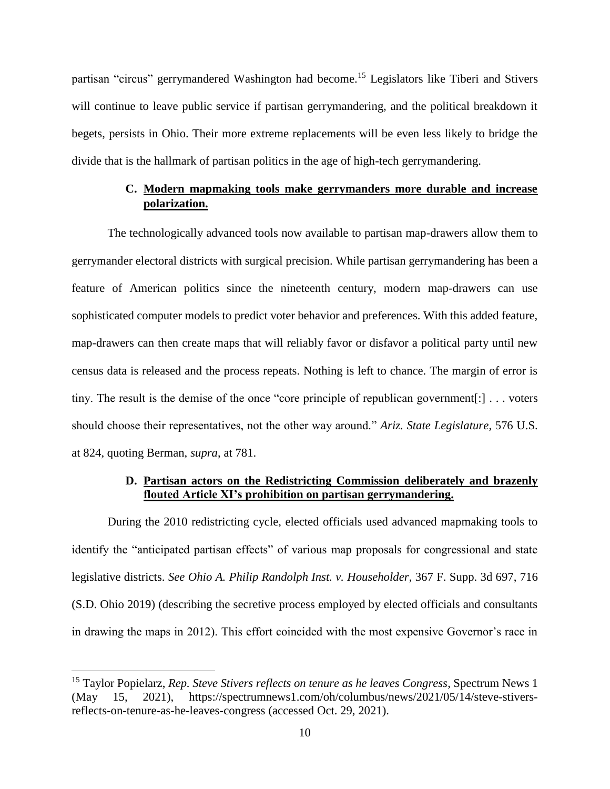partisan "circus" gerrymandered Washington had become.<sup>15</sup> Legislators like Tiberi and Stivers will continue to leave public service if partisan gerrymandering, and the political breakdown it begets, persists in Ohio. Their more extreme replacements will be even less likely to bridge the divide that is the hallmark of partisan politics in the age of high-tech gerrymandering.

# **C. Modern mapmaking tools make gerrymanders more durable and increase polarization.**

The technologically advanced tools now available to partisan map-drawers allow them to gerrymander electoral districts with surgical precision. While partisan gerrymandering has been a feature of American politics since the nineteenth century, modern map-drawers can use sophisticated computer models to predict voter behavior and preferences. With this added feature, map-drawers can then create maps that will reliably favor or disfavor a political party until new census data is released and the process repeats. Nothing is left to chance. The margin of error is tiny. The result is the demise of the once "core principle of republican government[:] . . . voters should choose their representatives, not the other way around." *Ariz. State Legislature*, 576 U.S. at 824, quoting Berman, *supra*, at 781.

### **D. Partisan actors on the Redistricting Commission deliberately and brazenly flouted Article XI's prohibition on partisan gerrymandering.**

During the 2010 redistricting cycle, elected officials used advanced mapmaking tools to identify the "anticipated partisan effects" of various map proposals for congressional and state legislative districts. *See Ohio A. Philip Randolph Inst. v. Householder*, 367 F. Supp. 3d 697, 716 (S.D. Ohio 2019) (describing the secretive process employed by elected officials and consultants in drawing the maps in 2012). This effort coincided with the most expensive Governor's race in

 $\overline{a}$ 

<sup>15</sup> Taylor Popielarz, *Rep. Steve Stivers reflects on tenure as he leaves Congress*, Spectrum News 1 (May 15, 2021), https://spectrumnews1.com/oh/columbus/news/2021/05/14/steve-stiversreflects-on-tenure-as-he-leaves-congress (accessed Oct. 29, 2021).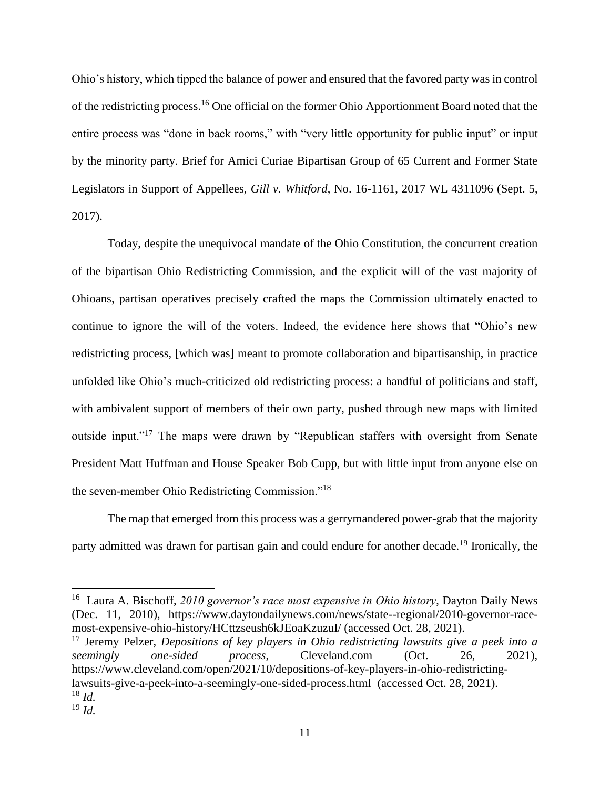Ohio's history, which tipped the balance of power and ensured that the favored party was in control of the redistricting process.<sup>16</sup> One official on the former Ohio Apportionment Board noted that the entire process was "done in back rooms," with "very little opportunity for public input" or input by the minority party. Brief for Amici Curiae Bipartisan Group of 65 Current and Former State Legislators in Support of Appellees, *Gill v. Whitford*, No. 16-1161, 2017 WL 4311096 (Sept. 5, 2017).

Today, despite the unequivocal mandate of the Ohio Constitution, the concurrent creation of the bipartisan Ohio Redistricting Commission, and the explicit will of the vast majority of Ohioans, partisan operatives precisely crafted the maps the Commission ultimately enacted to continue to ignore the will of the voters. Indeed, the evidence here shows that "Ohio's new redistricting process, [which was] meant to promote collaboration and bipartisanship, in practice unfolded like Ohio's much-criticized old redistricting process: a handful of politicians and staff, with ambivalent support of members of their own party, pushed through new maps with limited outside input."<sup>17</sup> The maps were drawn by "Republican staffers with oversight from Senate President Matt Huffman and House Speaker Bob Cupp, but with little input from anyone else on the seven-member Ohio Redistricting Commission."<sup>18</sup>

The map that emerged from this process was a gerrymandered power-grab that the majority party admitted was drawn for partisan gain and could endure for another decade.<sup>19</sup> Ironically, the

<sup>17</sup> Jeremy Pelzer, *Depositions of key players in Ohio redistricting lawsuits give a peek into a seemingly one-sided process*, Cleveland.com (Oct. 26, 2021), https://www.cleveland.com/open/2021/10/depositions-of-key-players-in-ohio-redistrictinglawsuits-give-a-peek-into-a-seemingly-one-sided-process.html (accessed Oct. 28, 2021). <sup>18</sup> *Id.*

l

<sup>&</sup>lt;sup>16</sup> Laura A. Bischoff, 2010 governor's race most expensive in Ohio history, Dayton Daily News (Dec. 11, 2010), https://www.daytondailynews.com/news/state--regional/2010-governor-racemost-expensive-ohio-history/HCttzseush6kJEoaKzuzuI/ (accessed Oct. 28, 2021).

<sup>19</sup> *Id.*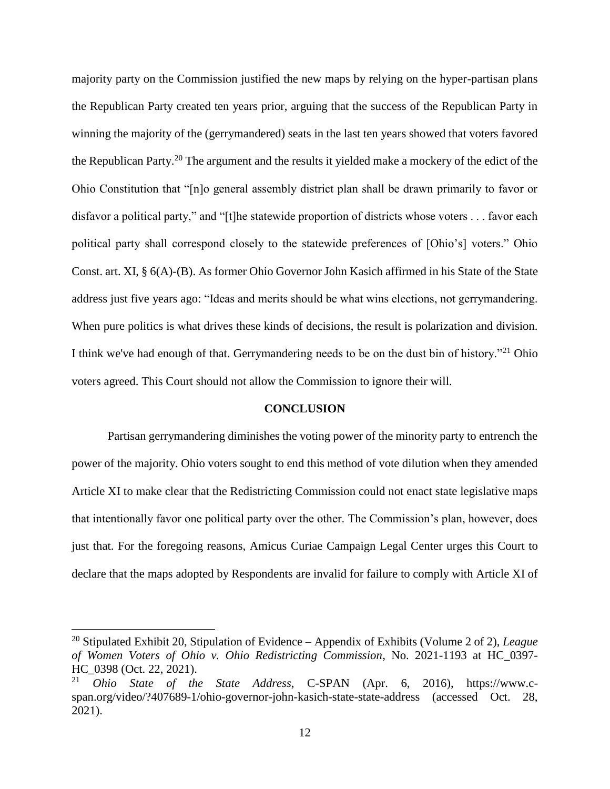majority party on the Commission justified the new maps by relying on the hyper-partisan plans the Republican Party created ten years prior, arguing that the success of the Republican Party in winning the majority of the (gerrymandered) seats in the last ten years showed that voters favored the Republican Party.<sup>20</sup> The argument and the results it yielded make a mockery of the edict of the Ohio Constitution that "[n]o general assembly district plan shall be drawn primarily to favor or disfavor a political party," and "[t]he statewide proportion of districts whose voters . . . favor each political party shall correspond closely to the statewide preferences of [Ohio's] voters." Ohio Const. art. XI, § 6(A)-(B). As former Ohio Governor John Kasich affirmed in his State of the State address just five years ago: "Ideas and merits should be what wins elections, not gerrymandering. When pure politics is what drives these kinds of decisions, the result is polarization and division. I think we've had enough of that. Gerrymandering needs to be on the dust bin of history."<sup>21</sup> Ohio voters agreed. This Court should not allow the Commission to ignore their will.

### **CONCLUSION**

Partisan gerrymandering diminishes the voting power of the minority party to entrench the power of the majority. Ohio voters sought to end this method of vote dilution when they amended Article XI to make clear that the Redistricting Commission could not enact state legislative maps that intentionally favor one political party over the other. The Commission's plan, however, does just that. For the foregoing reasons, Amicus Curiae Campaign Legal Center urges this Court to declare that the maps adopted by Respondents are invalid for failure to comply with Article XI of

 $\overline{\phantom{a}}$ 

<sup>20</sup> Stipulated Exhibit 20, Stipulation of Evidence – Appendix of Exhibits (Volume 2 of 2), *League of Women Voters of Ohio v. Ohio Redistricting Commission*, No. 2021-1193 at HC\_0397- HC\_0398 (Oct. 22, 2021).

<sup>21</sup> *Ohio State of the State Address*, C-SPAN (Apr. 6, 2016), https://www.cspan.org/video/?407689-1/ohio-governor-john-kasich-state-state-address (accessed Oct. 28, 2021).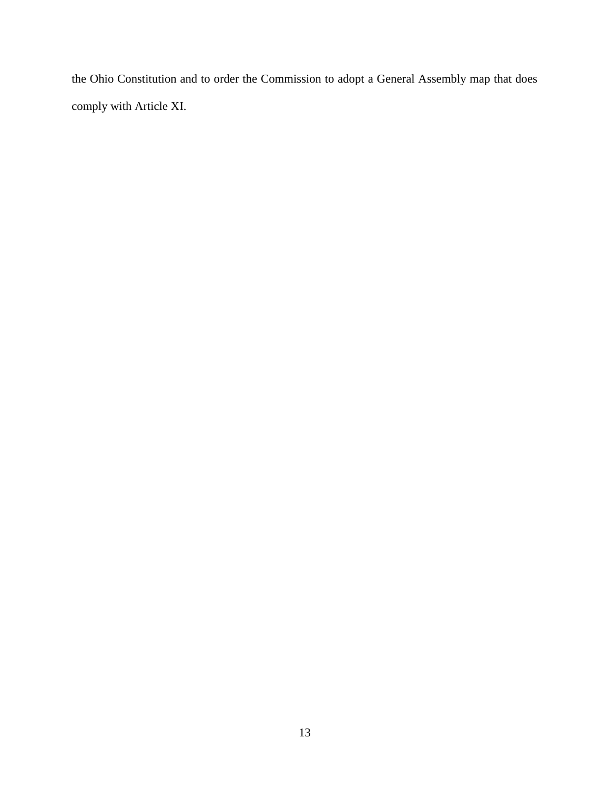the Ohio Constitution and to order the Commission to adopt a General Assembly map that does comply with Article XI.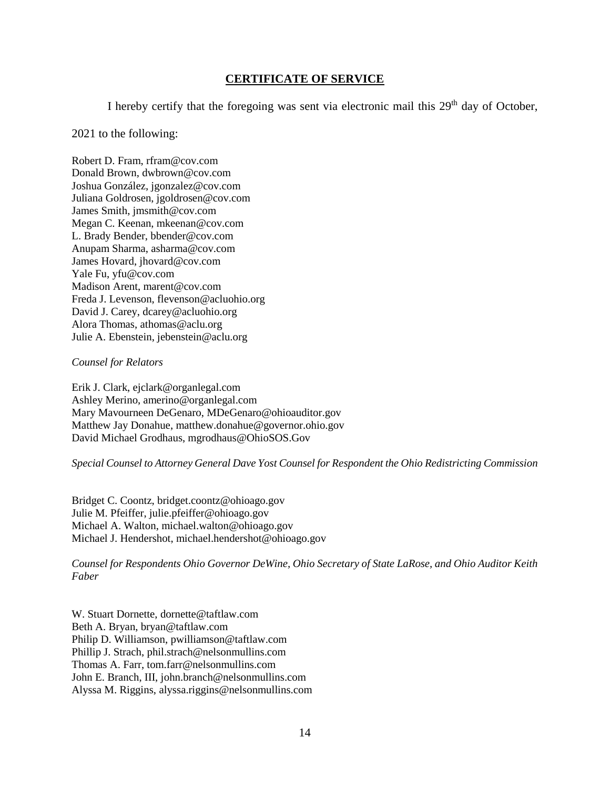## **CERTIFICATE OF SERVICE**

I hereby certify that the foregoing was sent via electronic mail this  $29<sup>th</sup>$  day of October,

### 2021 to the following:

Robert D. Fram, rfram@cov.com Donald Brown, dwbrown@cov.com Joshua González, jgonzalez@cov.com Juliana Goldrosen, jgoldrosen@cov.com James Smith, jmsmith@cov.com Megan C. Keenan, mkeenan@cov.com L. Brady Bender, bbender@cov.com Anupam Sharma, asharma@cov.com James Hovard, jhovard@cov.com Yale Fu, yfu@cov.com Madison Arent, marent@cov.com Freda J. Levenson, flevenson@acluohio.org David J. Carey, dcarey@acluohio.org Alora Thomas, athomas@aclu.org Julie A. Ebenstein, jebenstein@aclu.org

### *Counsel for Relators*

Erik J. Clark, ejclark@organlegal.com Ashley Merino, amerino@organlegal.com Mary Mavourneen DeGenaro, MDeGenaro@ohioauditor.gov Matthew Jay Donahue, matthew.donahue@governor.ohio.gov David Michael Grodhaus, mgrodhaus@OhioSOS.Gov

*Special Counsel to Attorney General Dave Yost Counsel for Respondent the Ohio Redistricting Commission* 

Bridget C. Coontz, bridget.coontz@ohioago.gov Julie M. Pfeiffer, julie.pfeiffer@ohioago.gov Michael A. Walton, michael.walton@ohioago.gov Michael J. Hendershot, michael.hendershot@ohioago.gov

*Counsel for Respondents Ohio Governor DeWine, Ohio Secretary of State LaRose, and Ohio Auditor Keith Faber*

W. Stuart Dornette, dornette@taftlaw.com Beth A. Bryan, bryan@taftlaw.com Philip D. Williamson, pwilliamson@taftlaw.com Phillip J. Strach, phil.strach@nelsonmullins.com Thomas A. Farr, tom.farr@nelsonmullins.com John E. Branch, III, john.branch@nelsonmullins.com Alyssa M. Riggins, alyssa.riggins@nelsonmullins.com